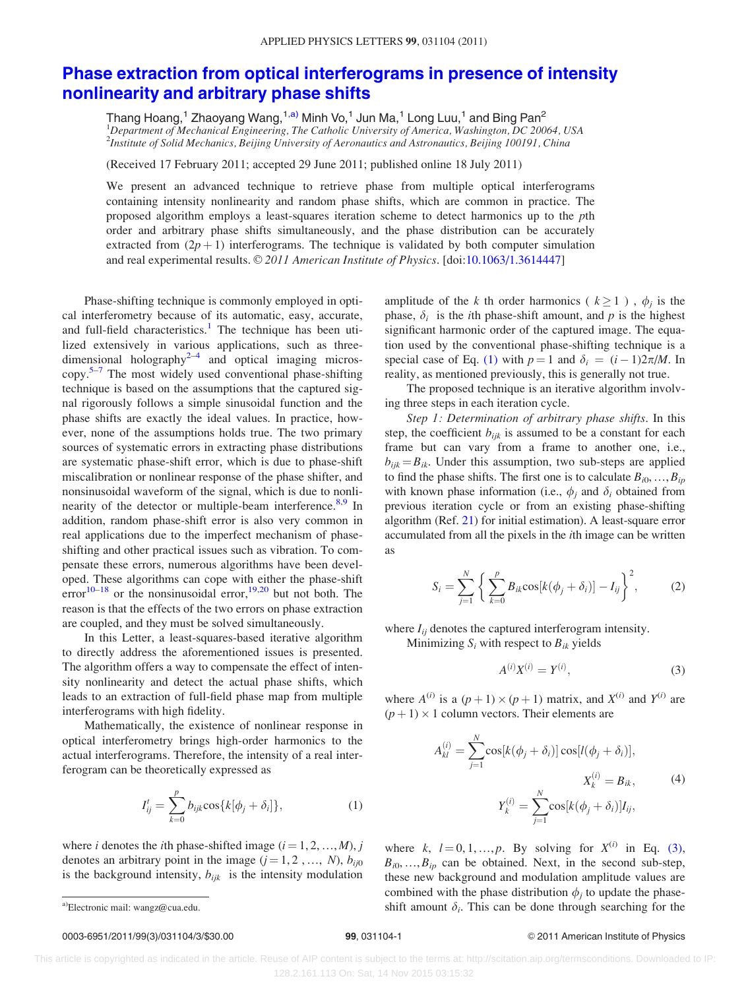## [Phase extraction from optical interferograms in presence of intensity](http://dx.doi.org/10.1063/1.3614447) [nonlinearity and arbitrary phase shifts](http://dx.doi.org/10.1063/1.3614447)

Thang Hoang,<sup>1</sup> Zhaoyang Wang,<sup>1,a)</sup> Minh Vo,<sup>1</sup> Jun Ma,<sup>1</sup> Long Luu,<sup>1</sup> and Bing Pan<sup>2</sup> <sup>1</sup>Department of Mechanical Engineering, The Catholic University of America, Washington, DC 20064, USA 2 Institute of Solid Mechanics, Beijing University of Aeronautics and Astronautics, Beijing 100191, China

(Received 17 February 2011; accepted 29 June 2011; published online 18 July 2011)

We present an advanced technique to retrieve phase from multiple optical interferograms containing intensity nonlinearity and random phase shifts, which are common in practice. The proposed algorithm employs a least-squares iteration scheme to detect harmonics up to the pth order and arbitrary phase shifts simultaneously, and the phase distribution can be accurately extracted from  $(2p + 1)$  interferograms. The technique is validated by both computer simulation and real experimental results.  $\mathcal{O}2011$  American Institute of Physics. [doi[:10.1063/1.3614447](http://dx.doi.org/10.1063/1.3614447)]

Phase-shifting technique is commonly employed in optical interferometry because of its automatic, easy, accurate, and full-field characteristics.<sup>[1](#page-2-0)</sup> The technique has been utilized extensively in various applications, such as three-dimensional holography<sup>[2–4](#page-2-0)</sup> and optical imaging micros- $copy.<sup>5–7</sup>$  $copy.<sup>5–7</sup>$  $copy.<sup>5–7</sup>$  The most widely used conventional phase-shifting technique is based on the assumptions that the captured signal rigorously follows a simple sinusoidal function and the phase shifts are exactly the ideal values. In practice, however, none of the assumptions holds true. The two primary sources of systematic errors in extracting phase distributions are systematic phase-shift error, which is due to phase-shift miscalibration or nonlinear response of the phase shifter, and nonsinusoidal waveform of the signal, which is due to nonlinearity of the detector or multiple-beam interference.<sup>8,9</sup> In addition, random phase-shift error is also very common in real applications due to the imperfect mechanism of phaseshifting and other practical issues such as vibration. To compensate these errors, numerous algorithms have been developed. These algorithms can cope with either the phase-shift error<sup>10–[18](#page-2-0)</sup> or the nonsinusoidal error,<sup>[19,20](#page-2-0)</sup> but not both. The reason is that the effects of the two errors on phase extraction are coupled, and they must be solved simultaneously.

In this Letter, a least-squares-based iterative algorithm to directly address the aforementioned issues is presented. The algorithm offers a way to compensate the effect of intensity nonlinearity and detect the actual phase shifts, which leads to an extraction of full-field phase map from multiple interferograms with high fidelity.

Mathematically, the existence of nonlinear response in optical interferometry brings high-order harmonics to the actual interferograms. Therefore, the intensity of a real interferogram can be theoretically expressed as

$$
I_{ij}^t = \sum_{k=0}^p b_{ijk} \cos\{k[\phi_j + \delta_i]\},\tag{1}
$$

where *i* denotes the *i*th phase-shifted image  $(i = 1, 2, ..., M)$ , *j* denotes an arbitrary point in the image  $(j = 1, 2, ..., N)$ ,  $b_{ij0}$ is the background intensity,  $b_{ijk}$  is the intensity modulation amplitude of the k th order harmonics ( $k \ge 1$ ),  $\phi_i$  is the phase,  $\delta_i$  is the *i*th phase-shift amount, and *p* is the highest significant harmonic order of the captured image. The equation used by the conventional phase-shifting technique is a special case of Eq. [\(1\)](#page-2-0) with  $p = 1$  and  $\delta_i = (i - 1)2\pi/M$ . In reality, as mentioned previously, this is generally not true.

The proposed technique is an iterative algorithm involving three steps in each iteration cycle.

Step 1: Determination of arbitrary phase shifts. In this step, the coefficient  $b_{ijk}$  is assumed to be a constant for each frame but can vary from a frame to another one, i.e.,  $b_{ijk} = B_{ik}$ . Under this assumption, two sub-steps are applied to find the phase shifts. The first one is to calculate  $B_{i0},...,B_{ip}$ with known phase information (i.e.,  $\phi_i$  and  $\delta_i$  obtained from previous iteration cycle or from an existing phase-shifting algorithm (Ref. [21](#page-2-0)) for initial estimation). A least-square error accumulated from all the pixels in the ith image can be written as

$$
S_i = \sum_{j=1}^N \left\{ \sum_{k=0}^p B_{ik} \cos[k(\phi_j + \delta_i)] - I_{ij} \right\}^2, \tag{2}
$$

where  $I_{ii}$  denotes the captured interferogram intensity.

Minimizing  $S_i$  with respect to  $B_{ik}$  yields

$$
A^{(i)}X^{(i)} = Y^{(i)},\tag{3}
$$

where  $A^{(i)}$  is a  $(p+1) \times (p+1)$  matrix, and  $X^{(i)}$  and  $Y^{(i)}$  are  $(p+1) \times 1$  column vectors. Their elements are

$$
A_{kl}^{(i)} = \sum_{j=1}^{N} \cos[k(\phi_j + \delta_i)] \cos[l(\phi_j + \delta_i)],
$$
  

$$
X_k^{(i)} = B_{ik},
$$
  

$$
Y_k^{(i)} = \sum_{j=1}^{N} \cos[k(\phi_j + \delta_i)] I_{ij},
$$
 (4)

where k,  $l = 0, 1, ..., p$ . By solving for  $X^{(i)}$  in Eq. [\(3\)](#page-2-0),  $B_{i0},...,B_{ip}$  can be obtained. Next, in the second sub-step, these new background and modulation amplitude values are combined with the phase distribution  $\phi_i$  to update the phasea)Electronic mail: wangz@cua.edu.  $\text{shift}$  amount  $\delta_i$ . This can be done through searching for the

## 0003-6951/2011/99(3)/031104/3/\$30.00 99, 031104-1 © 2011 American Institute of Physics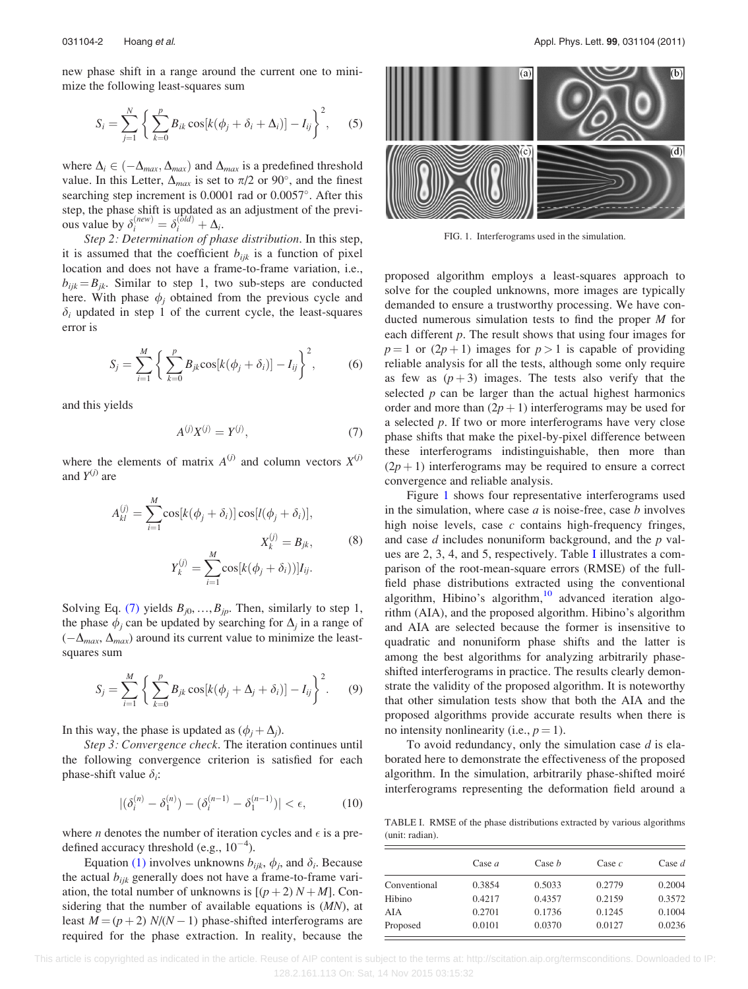<span id="page-1-0"></span>new phase shift in a range around the current one to minimize the following least-squares sum

$$
S_i = \sum_{j=1}^N \left\{ \sum_{k=0}^p B_{ik} \cos[k(\phi_j + \delta_i + \Delta_i)] - I_{ij} \right\}^2, \quad (5)
$$

where  $\Delta_i \in (-\Delta_{max}, \Delta_{max})$  and  $\Delta_{max}$  is a predefined threshold value. In this Letter,  $\Delta_{max}$  is set to  $\pi/2$  or 90°, and the finest searching step increment is 0.0001 rad or 0.0057°. After this step, the phase shift is updated as an adjustment of the previous value by  $\delta_i^{(new)} = \delta_i^{(old)} + \Delta_i$ .

Step 2: Determination of phase distribution. In this step, it is assumed that the coefficient  $b_{ijk}$  is a function of pixel location and does not have a frame-to-frame variation, i.e.,  $b_{ijk} = B_{ik}$ . Similar to step 1, two sub-steps are conducted here. With phase  $\phi_i$  obtained from the previous cycle and  $\delta_i$  updated in step 1 of the current cycle, the least-squares error is

$$
S_{j} = \sum_{i=1}^{M} \left\{ \sum_{k=0}^{p} B_{jk} \cos[k(\phi_{j} + \delta_{i})] - I_{ij} \right\}^{2},
$$
 (6)

and this yields

$$
A^{(j)}X^{(j)} = Y^{(j)},\tag{7}
$$

where the elements of matrix  $A^{(j)}$  and column vectors  $X^{(j)}$ and  $Y^{(j)}$  are

$$
A_{kl}^{(j)} = \sum_{i=1}^{M} \cos[k(\phi_j + \delta_i)] \cos[l(\phi_j + \delta_i)],
$$
  
\n
$$
X_k^{(j)} = B_{jk},
$$
  
\n
$$
Y_k^{(j)} = \sum_{i=1}^{M} \cos[k(\phi_j + \delta_i))]I_{ij}.
$$
  
\n(8)

Solving Eq. [\(7\)](#page-2-0) yields  $B_{j0},...,B_{jp}$ . Then, similarly to step 1, the phase  $\phi_i$  can be updated by searching for  $\Delta_i$  in a range of  $(-\Delta_{max}, \Delta_{max})$  around its current value to minimize the leastsquares sum

$$
S_j = \sum_{i=1}^{M} \left\{ \sum_{k=0}^{p} B_{jk} \cos[k(\phi_j + \Delta_j + \delta_i)] - I_{ij} \right\}^2.
$$
 (9)

In this way, the phase is updated as  $(\phi_i + \Delta_i)$ .

Step 3: Convergence check. The iteration continues until the following convergence criterion is satisfied for each phase-shift value  $\delta_i$ :

$$
|(\delta_i^{(n)} - \delta_1^{(n)}) - (\delta_i^{(n-1)} - \delta_1^{(n-1)})| < \epsilon,\tag{10}
$$

where *n* denotes the number of iteration cycles and  $\epsilon$  is a predefined accuracy threshold (e.g.,  $10^{-4}$ ).

Equation [\(1\)](#page-2-0) involves unknowns  $b_{ijk}$ ,  $\phi_i$ , and  $\delta_i$ . Because the actual  $b_{ijk}$  generally does not have a frame-to-frame variation, the total number of unknowns is  $[(p+2) N+M]$ . Considering that the number of available equations is (MN), at least  $M = (p + 2) N/(N - 1)$  phase-shifted interferograms are required for the phase extraction. In reality, because the



FIG. 1. Interferograms used in the simulation.

proposed algorithm employs a least-squares approach to solve for the coupled unknowns, more images are typically demanded to ensure a trustworthy processing. We have conducted numerous simulation tests to find the proper M for each different  $p$ . The result shows that using four images for  $p = 1$  or  $(2p + 1)$  images for  $p > 1$  is capable of providing reliable analysis for all the tests, although some only require as few as  $(p+3)$  images. The tests also verify that the selected  $p$  can be larger than the actual highest harmonics order and more than  $(2p + 1)$  interferograms may be used for a selected  $p$ . If two or more interferograms have very close phase shifts that make the pixel-by-pixel difference between these interferograms indistinguishable, then more than  $(2p + 1)$  interferograms may be required to ensure a correct convergence and reliable analysis.

Figure 1 shows four representative interferograms used in the simulation, where case  $a$  is noise-free, case  $b$  involves high noise levels, case  $c$  contains high-frequency fringes, and case  $d$  includes nonuniform background, and the  $p$  values are 2, 3, 4, and 5, respectively. Table I illustrates a comparison of the root-mean-square errors (RMSE) of the fullfield phase distributions extracted using the conventional algorithm, Hibino's algorithm, $10$  advanced iteration algorithm (AIA), and the proposed algorithm. Hibino's algorithm and AIA are selected because the former is insensitive to quadratic and nonuniform phase shifts and the latter is among the best algorithms for analyzing arbitrarily phaseshifted interferograms in practice. The results clearly demonstrate the validity of the proposed algorithm. It is noteworthy that other simulation tests show that both the AIA and the proposed algorithms provide accurate results when there is no intensity nonlinearity (i.e.,  $p = 1$ ).

To avoid redundancy, only the simulation case  $d$  is elaborated here to demonstrate the effectiveness of the proposed algorithm. In the simulation, arbitrarily phase-shifted moiré interferograms representing the deformation field around a

TABLE I. RMSE of the phase distributions extracted by various algorithms (unit: radian).

|              | Case $a$ | Case b | Case $c$ | Case $d$ |
|--------------|----------|--------|----------|----------|
| Conventional | 0.3854   | 0.5033 | 0.2779   | 0.2004   |
| Hibino       | 0.4217   | 0.4357 | 0.2159   | 0.3572   |
| AIA          | 0.2701   | 0.1736 | 0.1245   | 0.1004   |
| Proposed     | 0.0101   | 0.0370 | 0.0127   | 0.0236   |